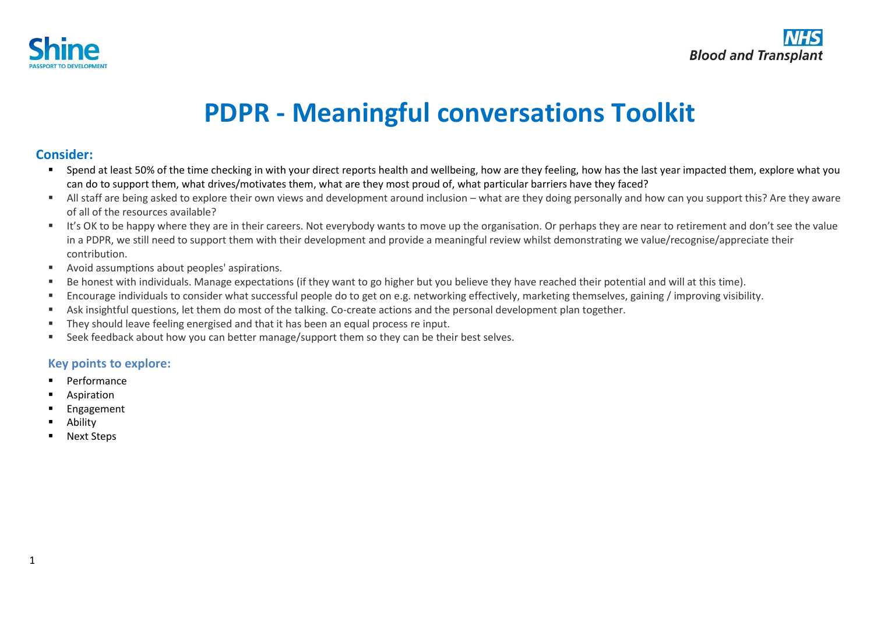

# **PDPR - Meaningful conversations Toolkit**

## **Consider:**

- Spend at least 50% of the time checking in with your direct reports health and wellbeing, how are they feeling, how has the last year impacted them, explore what you can do to support them, what drives/motivates them, what are they most proud of, what particular barriers have they faced?
- All staff are being asked to explore their own views and development around inclusion what are they doing personally and how can you support this? Are they aware of all of the resources available?
- It's OK to be happy where they are in their careers. Not everybody wants to move up the organisation. Or perhaps they are near to retirement and don't see the value in a PDPR, we still need to support them with their development and provide a meaningful review whilst demonstrating we value/recognise/appreciate their contribution.
- Avoid assumptions about peoples' aspirations.
- Be honest with individuals. Manage expectations (if they want to go higher but you believe they have reached their potential and will at this time).
- Encourage individuals to consider what successful people do to get on e.g. networking effectively, marketing themselves, gaining / improving visibility.
- Ask insightful questions, let them do most of the talking. Co-create actions and the personal development plan together.
- They should leave feeling energised and that it has been an equal process re input.
- Seek feedback about how you can better manage/support them so they can be their best selves.

#### **Key points to explore:**

- **Performance**
- Aspiration
- **Engagement**
- **Ability**
- **Next Steps**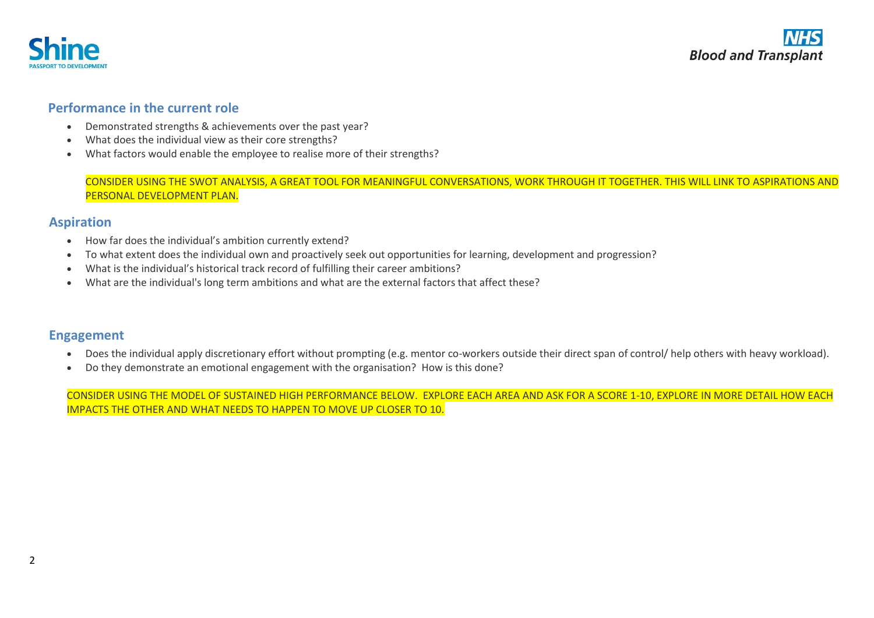

## **Performance in the current role**

- Demonstrated strengths & achievements over the past year?
- What does the individual view as their core strengths?
- What factors would enable the employee to realise more of their strengths?

CONSIDER USING THE SWOT ANALYSIS, A GREAT TOOL FOR MEANINGFUL CONVERSATIONS, WORK THROUGH IT TOGETHER. THIS WILL LINK TO ASPIRATIONS AND PERSONAL DEVELOPMENT PLAN.

### **Aspiration**

- How far does the individual's ambition currently extend?
- To what extent does the individual own and proactively seek out opportunities for learning, development and progression?
- What is the individual's historical track record of fulfilling their career ambitions?
- What are the individual's long term ambitions and what are the external factors that affect these?

### **Engagement**

- Does the individual apply discretionary effort without prompting (e.g. mentor co-workers outside their direct span of control/ help others with heavy workload).
- Do they demonstrate an emotional engagement with the organisation? How is this done?

CONSIDER USING THE MODEL OF SUSTAINED HIGH PERFORMANCE BELOW. EXPLORE EACH AREA AND ASK FOR A SCORE 1-10, EXPLORE IN MORE DETAIL HOW EACH IMPACTS THE OTHER AND WHAT NEEDS TO HAPPEN TO MOVE UP CLOSER TO 10.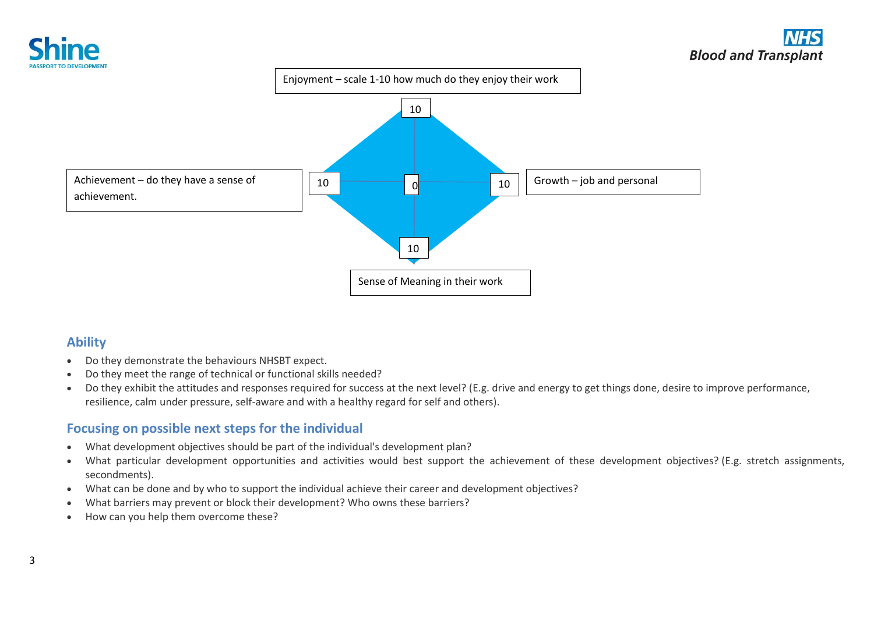



## **Ability**

- Do they demonstrate the behaviours NHSBT expect.
- Do they meet the range of technical or functional skills needed?
- Do they exhibit the attitudes and responses required for success at the next level? (E.g. drive and energy to get things done, desire to improve performance, resilience, calm under pressure, self-aware and with a healthy regard for self and others).

## **Focusing on possible next steps for the individual**

- What development objectives should be part of the individual's development plan?
- What particular development opportunities and activities would best support the achievement of these development objectives? (E.g. stretch assignments, secondments).
- What can be done and by who to support the individual achieve their career and development objectives?
- What barriers may prevent or block their development? Who owns these barriers?
- How can you help them overcome these?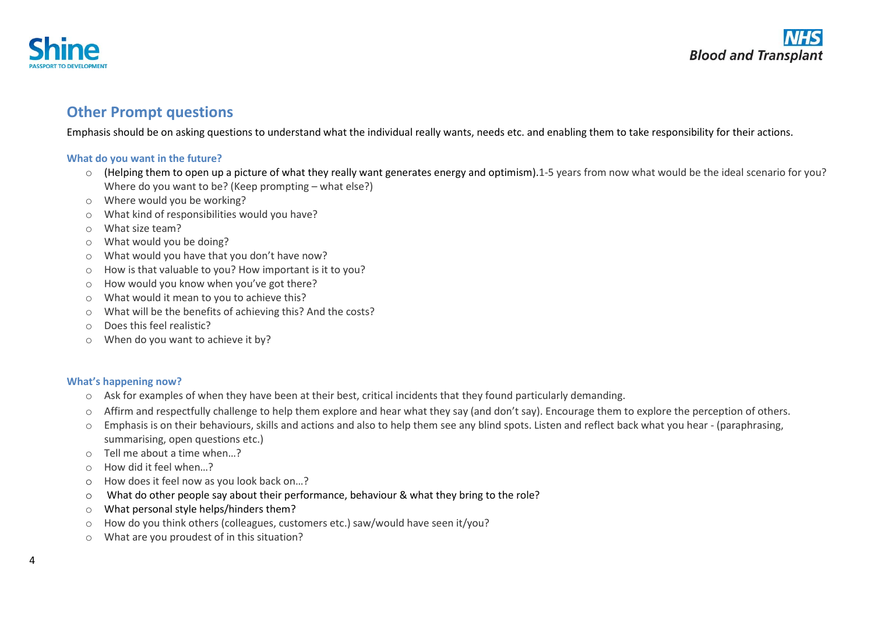

## **Other Prompt questions**

Emphasis should be on asking questions to understand what the individual really wants, needs etc. and enabling them to take responsibility for their actions.

#### **What do you want in the future?**

- o (Helping them to open up a picture of what they really want generates energy and optimism).1-5 years from now what would be the ideal scenario for you? Where do you want to be? (Keep prompting – what else?)
- o Where would you be working?
- o What kind of responsibilities would you have?
- o What size team?
- o What would you be doing?
- o What would you have that you don't have now?
- o How is that valuable to you? How important is it to you?
- o How would you know when you've got there?
- o What would it mean to you to achieve this?
- o What will be the benefits of achieving this? And the costs?
- o Does this feel realistic?
- o When do you want to achieve it by?

#### **What's happening now?**

- o Ask for examples of when they have been at their best, critical incidents that they found particularly demanding.
- o Affirm and respectfully challenge to help them explore and hear what they say (and don't say). Encourage them to explore the perception of others.
- o Emphasis is on their behaviours, skills and actions and also to help them see any blind spots. Listen and reflect back what you hear (paraphrasing, summarising, open questions etc.)
- o Tell me about a time when…?
- o How did it feel when…?
- o How does it feel now as you look back on…?
- o What do other people say about their performance, behaviour & what they bring to the role?
- o What personal style helps/hinders them?
- $\circ$  How do you think others (colleagues, customers etc.) saw/would have seen it/you?
- o What are you proudest of in this situation?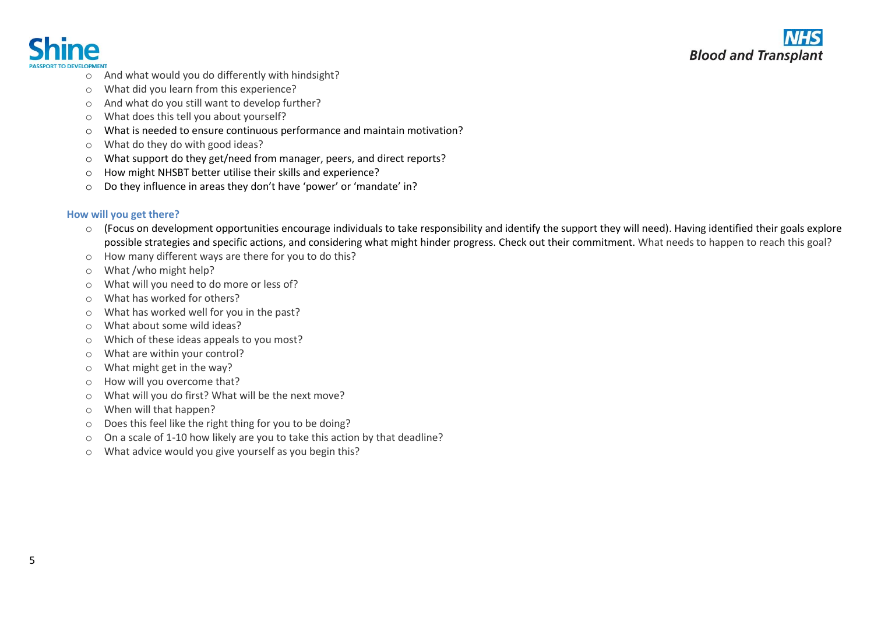

- o And what would you do differently with hindsight?
- o What did you learn from this experience?
- o And what do you still want to develop further?
- o What does this tell you about yourself?
- o What is needed to ensure continuous performance and maintain motivation?
- o What do they do with good ideas?
- o What support do they get/need from manager, peers, and direct reports?
- o How might NHSBT better utilise their skills and experience?
- o Do they influence in areas they don't have 'power' or 'mandate' in?

#### **How will you get there?**

- $\circ$  (Focus on development opportunities encourage individuals to take responsibility and identify the support they will need). Having identified their goals explore possible strategies and specific actions, and considering what might hinder progress. Check out their commitment. What needs to happen to reach this goal?
- o How many different ways are there for you to do this?
- o What /who might help?
- o What will you need to do more or less of?
- o What has worked for others?
- o What has worked well for you in the past?
- o What about some wild ideas?
- o Which of these ideas appeals to you most?
- o What are within your control?
- o What might get in the way?
- o How will you overcome that?
- o What will you do first? What will be the next move?
- o When will that happen?
- o Does this feel like the right thing for you to be doing?
- o On a scale of 1-10 how likely are you to take this action by that deadline?
- o What advice would you give yourself as you begin this?